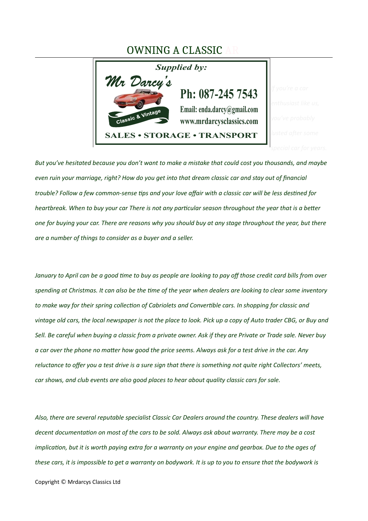## OWNING A CLASSIC



*But you've hesitated because you don't want to make a mistake that could cost you thousands, and maybe even ruin your marriage, right? How do you get into that dream classic car and stay out of fnancial*  trouble? Follow a few common-sense tips and your love affair with a classic car will be less destined for *heartbreak. When to buy your car There is not any partcular season throughout the year that is a beter one for buying your car. There are reasons why you should buy at any stage throughout the year, but there are a number of things to consider as a buyer and a seller.*

*January to April can be a good tme to buy as people are looking to pay of those credit card bills from over spending at Christmas. It can also be the tme of the year when dealers are looking to clear some inventory* to make way for their spring collection of Cabriolets and Convertible cars. In shopping for classic and *vintage old cars, the local newspaper is not the place to look. Pick up a copy of Auto trader CBG, or Buy and Sell. Be careful when buying a classic from a private owner. Ask if they are Private or Trade sale. Never buy a car over the phone no mater how good the price seems. Always ask for a test drive in the car. Any reluctance to ofer you a test drive is a sure sign that there is something not quite right Collectors' meets, car shows, and club events are also good places to hear about quality classic cars for sale.*

*Also, there are several reputable specialist Classic Car Dealers around the country. These dealers will have decent documentaton on most of the cars to be sold. Always ask about warranty. There may be a cost implication, but it is worth paying extra for a warranty on your engine and gearbox. Due to the ages of these cars, it is impossible to get a warranty on bodywork. It is up to you to ensure that the bodywork is* 

Copyright © Mrdarcys Classics Ltd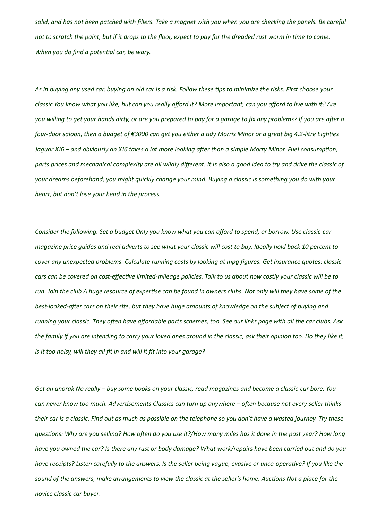*solid, and has not been patched with fllers. Take a magnet with you when you are checking the panels. Be careful* not to scratch the paint, but if it drops to the floor, expect to pay for the dreaded rust worm in time to come. *When you do fnd a potental car, be wary.*

*As in buying any used car, buying an old car is a risk. Follow these tps to minimiie the risks: First choose your classic You know what you like, but can you really afford it? More important, can you afford to live with it? Are you willing to get your hands dirty, or are you prepared to pay for a garage to fix any problems? If you are after a four-door saloon, then a budget of €3000 can get you either a tidy Morris Minor or a great big 4.2-litre Eighties Jaguar XJ6 – and obviously an XJ6 takes a lot more looking after than a simple Morry Minor. Fuel consumption, parts prices and mechanical complextity are all wildly diferent. It is also a good idea to try and drive the classic of your dreams beforehand; you might quickly change your mind. Buying a classic is something you do with your heart, but don't lose your head in the process.*

Consider the following. Set a budget Only you know what you can afford to spend, or borrow. Use classic-car *magaiine price guides and real adverts to see what your classic will cost to buy. Ideally hold back 10 percent to cover any unexpected problems. Calculate running costs by looking at mpg figures. Get insurance quotes: classic cars can be covered on cost-efectve limited-mileage policies. Talk to us about how costly your classic will be to run. Join the club A huge resource of expertise can be found in owners clubs. Not only will they have some of the best-looked-afer cars on their site, but they have huge amounts of knowledge on the subject of buying and running your classic. They ofen have afordable parts schemes, too. See our links page with all the car clubs. Ask the family If you are intending to carry your loved ones around in the classic, ask their opinion too. Do they like it, is it too noisy, will they all ft in and will it ft into your garage?*

*Get an anorak No really – buy some books on your classic, read magaiines and become a classic-car bore. You can never know too much. Advertsements Classics can turn up anywhere – ofen because not every seller thinks their car is a classic. Find out as much as possible on the telephone so you don't have a wasted journey. Try these questons: Why are you selling? How ofen do you use it?/How many miles has it done in the past year? How long have you owned the car? Is there any rust or body damage? What work/repairs have been carried out and do you have receipts? Listen carefully to the answers. Is the seller being vague, evasive or unco-operatve? If you like the sound of the answers, make arrangements to view the classic at the seller's home. Auctons Not a place for the novice classic car buyer.*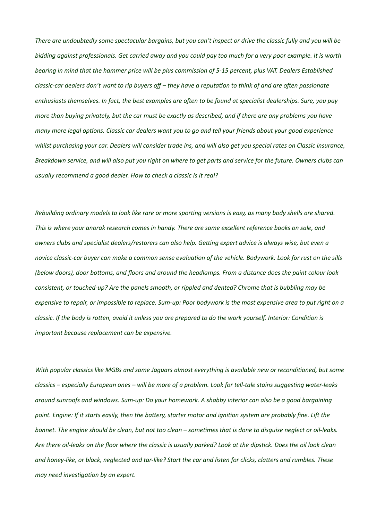*There are undoubtedly some spectacular bargains, but you can't inspect or drive the classic fully and you will be bidding against professionals. Get carried away and you could pay too much for a very poor example. It is worth bearing in mind that the hammer price will be plus commission of 5-15 percent, plus VAT. Dealers Established classic-car dealers don't want to rip buyers off – they have a reputation to think of and are often passionate* enthusiasts themselves. In fact, the best examples are often to be found at specialist dealerships. Sure, you pay *more than buying privately, but the car must be exactly as described, and if there are any problems you have many more legal options. Classic car dealers want you to go and tell your friends about your good experience whilst purchasing your car. Dealers will consider trade ins, and will also get you special rates on Classic insurance, Breakdown service, and will also put you right on where to get parts and service for the future. Owners clubs can usually recommend a good dealer. How to check a classic Is it real?*

*Rebuilding ordinary models to look like rare or more sportng versions is easy, as many body shells are shared. This is where your anorak research comes in handy. There are some extcellent reference books on sale, and owners clubs and specialist dealers/restorers can also help. Getting expert advice is always wise, but even a novice classic-car buyer can make a common sense evaluaton of the vehicle. Bodywork: Look for rust on the sills (below doors), door botoms, and foors and around the headlamps. From a distance does the paint colour look consistent, or touched-up? Are the panels smooth, or rippled and dented? Chrome that is bubbling may be expensive to repair, or impossible to replace. Sum-up: Poor bodywork is the most expensive area to put right on a classic. If the body is roten, avoid it unless you are prepared to do the work yourself. Interior: Conditon is important because replacement can be expensive.* 

With popular classics like MGBs and some Jaguars almost everything is available new or reconditioned, but some *classics – especially European ones – will be more of a problem. Look for tell-tale stains suggestng water-leaks around sunroofs and windows. Sum-up: Do your homework. A shabby interior can also be a good bargaining point. Engine: If it starts easily, then the batery, starter motor and igniton system are probably fne. Lif the bonnet. The engine should be clean, but not too clean – sometmes that is done to disguise neglect or oil-leaks. Are there oil-leaks on the foor where the classic is usually parked? Look at the dipstck. Does the oil look clean and honey-like, or black, neglected and tar-like? Start the car and listen for clicks, claters and rumbles. These may need investigation by an expert.*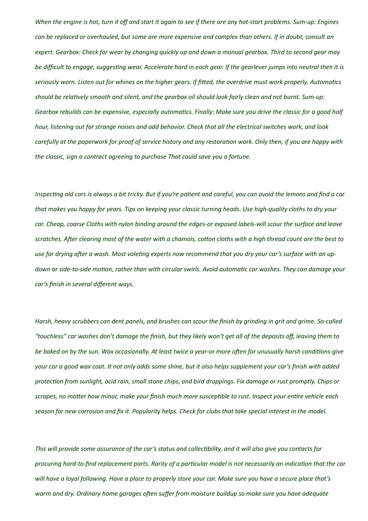*When the engine is hot, turn it off and start it again to see if there are any hot-start problems. Sum-up: Engines* can be replaced or overhauled, but some are more expensive and complex than others. If in doubt, consult an *expert. Gearbox: Check for wear by changing quickly up and down a manual gearbox. Third to second gear may be difcult to engage, suggestng wear. Accelerate hard in each gear. If the gearlever jumps into neutral then it is seriously worn. Listen out for whines on the higher gears. If fted, the overdrive must work properly. Automatcs*  should be relatively smooth and silent, and the gearbox oil should look fairly clean and not burnt. Sum-up: *Gearbox rebuilds can be expensive, especially automatics. Finally: Make sure you drive the classic for a good half hour, listening out for strange noises and odd behavior. Check that all the electrical switches work, and look carefully at the paperwork for proof of service history and any restoraton work. Only then, if you are happy with the classic, sign a contract agreeing to purchase That could save you a fortune.*

*Inspectng old cars is always a bit tricky. But if you're patent and careful, you can avoid the lemons and fnd a car that makes you happy for years. Tips on keeping your classic turning heads. Use high-quality cloths to dry your car. Cheap, coarse Cloths with nylon binding around the edges-or exposed labels-will scour the surface and leave scratches. Afer clearing most of the water with a chamois, coton cloths with a high thread count are the best to*  use for drying after a wash. Most valeting experts now recommend that you dry your car's surface with an updown or side-to-side motion, rather than with circular swirls. Avoid automatic car washes. They can damage your *car's fnish in several diferent ways.*

*Harsh, heavy scrubbers can dent panels, and brushes can scour the fnish by grinding in grit and grime. So-called "touchless" car washes don't damage the fnish, but they likely won't get all of the deposits of, leaving them to*  be baked on by the sun. Wax occasionally. At least twice a year-or more often for unusually harsh conditions-give *your car a good wax coat. It not only adds some shine, but it also helps supplement your car's finish with added protection from sunlight, acid rain, small stone chips, and bird droppings. Fix damage or rust promptly. Chips or scrapes, no mater how minor, make your fnish much more susceptble to rust. Inspect your entre vehicle each*  season for new corrosion and fix it. Popularity helps. Check for clubs that take special interest in the model.

*This will provide some assurance of the car's status and collectbility, and it will also give you contacts for procuring hard-to-fnd replacement parts. Rarity of a partcular model is not necessarily an indicaton that the car* will have a loyal following. Have a place to properly store your car. Make sure you have a secure place that's *warm and dry. Ordinary home garages ofen sufer from moisture buildup so make sure you have adequate*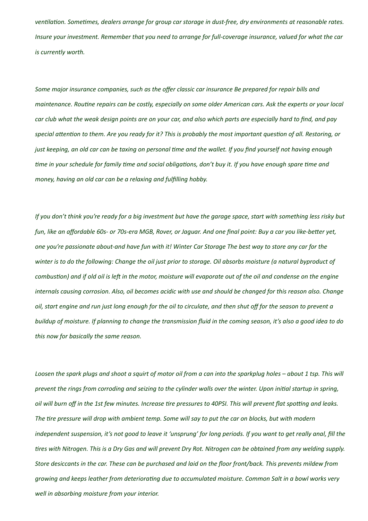*ventlaton. Sometmes, dealers arrange for group car storage in dust-free, dry environments at reasonable rates. Insure your investment. Remember that you need to arrange for full-coverage insurance, valued for what the car is currently worth.*

Some major insurance companies, such as the offer classic car insurance Be prepared for repair bills and *maintenance. Routine repairs can be costly, especially on some older American cars. Ask the experts or your local car club what the weak design points are on your car, and also which parts are especially hard to fnd, and pay special atenton to them. Are you ready for it? This is probably the most important queston of all. Restoring, or just keeping, an old car can be taxting on personal tme and the wallet. If you fnd yourself not having enough tme in your schedule for family tme and social obligatons, don't buy it. If you have enough spare tme and money, having an old car can be a relaxting and fulflling hobby.*

*If you don't think you're ready for a big investment but have the garage space, start with something less risky but* fun, like an affordable 60s- or 70s-era MGB, Rover, or Jaguar. And one final point: Buy a car you like-better yet, *one you're passionate about-and have fun with it! Winter Car Storage The best way to store any car for the winter is to do the following: Change the oil just prior to storage. Oil absorbs moisture (a natural byproduct of combustion) and if old oil is left in the motor, moisture will evaporate out of the oil and condense on the engine internals causing corrosion. Also, oil becomes acidic with use and should be changed for this reason also. Change oil, start engine and run just long enough for the oil to circulate, and then shut of for the season to prevent a buildup of moisture. If planning to change the transmission fuid in the coming season, it's also a good idea to do this now for basically the same reason.*

Loosen the spark plugs and shoot a squirt of motor oil from a can into the sparkplug holes – about 1 tsp. This will *prevent the rings from corroding and seiiing to the cylinder walls over the winter. Upon inital startup in spring,*  oil will burn off in the 1st few minutes. Increase tire pressures to 40PSI. This will prevent flat spotting and leaks. *The tre pressure will drop with ambient temp. Some will say to put the car on blocks, but with modern independent suspension, it's not good to leave it 'unsprung' for long periods. If you want to get really anal, fll the tres with Nitrogen. This is a Dry Gas and will prevent Dry Rot. Nitrogen can be obtained from any welding supply. Store desiccants in the car. These can be purchased and laid on the foor front/back. This prevents mildew from growing and keeps leather from deterioratng due to accumulated moisture. Common Salt in a bowl works very well in absorbing moisture from your interior.*